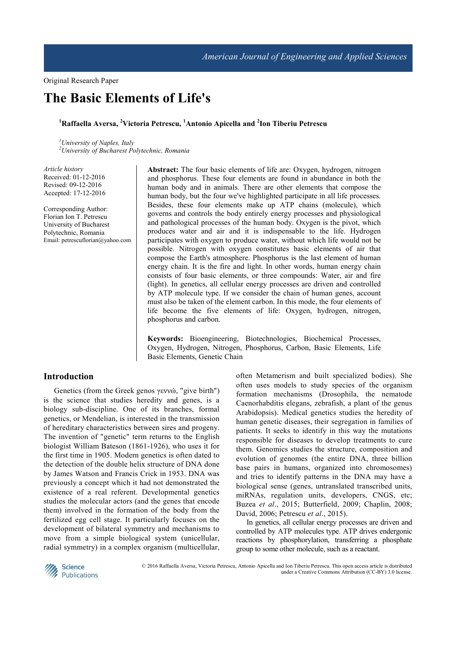Original Research Paper

# **The Basic Elements of Life's**

**<sup>1</sup>Raffaella Aversa, <sup>2</sup>Victoria Petrescu, <sup>1</sup>Antonio Apicella and <sup>2</sup> Ion Tiberiu Petrescu** 

*<sup>1</sup>University of Naples, Italy <sup>2</sup>University of Bucharest Polytechnic, Romania* 

*Article history*  Received: 01-12-2016 Revised: 09-12-2016 Accepted: 17-12-2016

Corresponding Author: Florian Ion T. Petrescu University of Bucharest Polytechnic, Romania Email: petrescuflorian@yahoo.com **Abstract:** The four basic elements of life are: Oxygen, hydrogen, nitrogen and phosphorus. These four elements are found in abundance in both the human body and in animals. There are other elements that compose the human body, but the four we've highlighted participate in all life processes. Besides, these four elements make up ATP chains (molecule), which governs and controls the body entirely energy processes and physiological and pathological processes of the human body. Oxygen is the pivot, which produces water and air and it is indispensable to the life. Hydrogen participates with oxygen to produce water, without which life would not be possible. Nitrogen with oxygen constitutes basic elements of air that compose the Earth's atmosphere. Phosphorus is the last element of human energy chain. It is the fire and light. In other words, human energy chain consists of four basic elements, or three compounds: Water, air and fire (light). In genetics, all cellular energy processes are driven and controlled by ATP molecule type. If we consider the chain of human genes, account must also be taken of the element carbon. In this mode, the four elements of life become the five elements of life: Oxygen, hydrogen, nitrogen, phosphorus and carbon.

**Keywords:** Bioengineering, Biotechnologies, Biochemical Processes, Oxygen, Hydrogen, Nitrogen, Phosphorus, Carbon, Basic Elements, Life Basic Elements, Genetic Chain

# **Introduction**

Genetics (from the Greek genos γεννώ, "give birth") is the science that studies heredity and genes, is a biology sub-discipline. One of its branches, formal genetics, or Mendelian, is interested in the transmission of hereditary characteristics between sires and progeny. The invention of "genetic" term returns to the English biologist William Bateson (1861-1926), who uses it for the first time in 1905. Modern genetics is often dated to the detection of the double helix structure of DNA done by James Watson and Francis Crick in 1953. DNA was previously a concept which it had not demonstrated the existence of a real referent. Developmental genetics studies the molecular actors (and the genes that encode them) involved in the formation of the body from the fertilized egg cell stage. It particularly focuses on the development of bilateral symmetry and mechanisms to move from a simple biological system (unicellular, radial symmetry) in a complex organism (multicellular, often Metamerism and built specialized bodies). She often uses models to study species of the organism formation mechanisms (Drosophila, the nematode Caenorhabditis elegans, zebrafish, a plant of the genus Arabidopsis). Medical genetics studies the heredity of human genetic diseases, their segregation in families of patients. It seeks to identify in this way the mutations responsible for diseases to develop treatments to cure them. Genomics studies the structure, composition and evolution of genomes (the entire DNA, three billion base pairs in humans, organized into chromosomes) and tries to identify patterns in the DNA may have a biological sense (genes, untranslated transcribed units, miRNAs, regulation units, developers, CNGS, etc; Buzea *et al*., 2015; Butterfield, 2009; Chaplin, 2008; David, 2006; Petrescu *et al*., 2015).

In genetics, all cellular energy processes are driven and controlled by ATP molecules type. ATP drives endergonic reactions by phosphorylation, transferring a phosphate group to some other molecule, such as a reactant.



© 2016 Raffaella Aversa, Victoria Petrescu, Antonio Apicella and Ion Tiberiu Petrescu. This open access article is distributed under a Creative Commons Attribution (CC-BY) 3.0 license.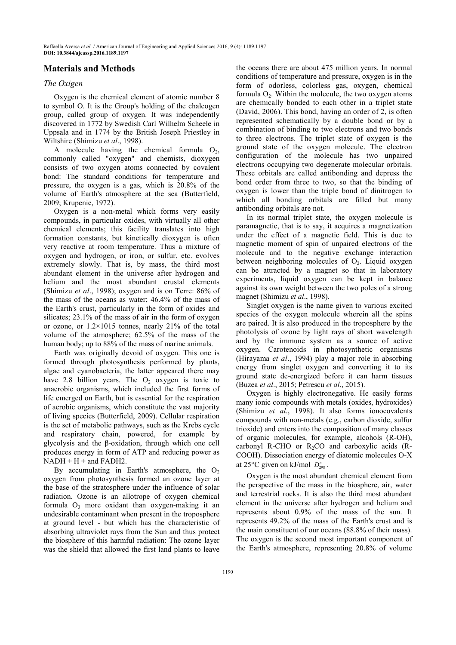# **Materials and Methods**

## *The Oxigen*

Oxygen is the chemical element of atomic number 8 to symbol O. It is the Group's holding of the chalcogen group, called group of oxygen. It was independently discovered in 1772 by Swedish Carl Wilhelm Scheele in Uppsala and in 1774 by the British Joseph Priestley in Wiltshire (Shimizu *et al*., 1998).

A molecule having the chemical formula  $O_2$ , commonly called "oxygen" and chemists, dioxygen consists of two oxygen atoms connected by covalent bond: The standard conditions for temperature and pressure, the oxygen is a gas, which is 20.8% of the volume of Earth's atmosphere at the sea (Butterfield, 2009; Krupenie, 1972).

Oxygen is a non-metal which forms very easily compounds, in particular oxides, with virtually all other chemical elements; this facility translates into high formation constants, but kinetically dioxygen is often very reactive at room temperature. Thus a mixture of oxygen and hydrogen, or iron, or sulfur, etc. evolves extremely slowly. That is, by mass, the third most abundant element in the universe after hydrogen and helium and the most abundant crustal elements (Shimizu *et al*., 1998); oxygen and is on Terre: 86% of the mass of the oceans as water; 46.4% of the mass of the Earth's crust, particularly in the form of oxides and silicates; 23.1% of the mass of air in the form of oxygen or ozone, or 1.2×1015 tonnes, nearly 21% of the total volume of the atmosphere; 62.5% of the mass of the human body; up to 88% of the mass of marine animals.

Earth was originally devoid of oxygen. This one is formed through photosynthesis performed by plants, algae and cyanobacteria, the latter appeared there may have 2.8 billion years. The  $O_2$  oxygen is toxic to anaerobic organisms, which included the first forms of life emerged on Earth, but is essential for the respiration of aerobic organisms, which constitute the vast majority of living species (Butterfield, 2009). Cellular respiration is the set of metabolic pathways, such as the Krebs cycle and respiratory chain, powered, for example by glycolysis and the β-oxidation, through which one cell produces energy in form of ATP and reducing power as  $NADH + H +$  and  $FADH2$ .

By accumulating in Earth's atmosphere, the  $O_2$ oxygen from photosynthesis formed an ozone layer at the base of the stratosphere under the influence of solar radiation. Ozone is an allotrope of oxygen chemical formula  $O_3$  more oxidant than oxygen-making it an undesirable contaminant when present in the troposphere at ground level - but which has the characteristic of absorbing ultraviolet rays from the Sun and thus protect the biosphere of this harmful radiation: The ozone layer was the shield that allowed the first land plants to leave

the oceans there are about 475 million years. In normal conditions of temperature and pressure, oxygen is in the form of odorless, colorless gas, oxygen, chemical formula  $O_2$ . Within the molecule, the two oxygen atoms are chemically bonded to each other in a triplet state (David, 2006). This bond, having an order of 2, is often represented schematically by a double bond or by a combination of binding to two electrons and two bonds to three electrons. The triplet state of oxygen is the ground state of the oxygen molecule. The electron configuration of the molecule has two unpaired electrons occupying two degenerate molecular orbitals. These orbitals are called antibonding and depress the bond order from three to two, so that the binding of oxygen is lower than the triple bond of dinitrogen to which all bonding orbitals are filled but many antibonding orbitals are not.

In its normal triplet state, the oxygen molecule is paramagnetic, that is to say, it acquires a magnetization under the effect of a magnetic field. This is due to magnetic moment of spin of unpaired electrons of the molecule and to the negative exchange interaction between neighboring molecules of  $O<sub>2</sub>$ . Liquid oxygen can be attracted by a magnet so that in laboratory experiments, liquid oxygen can be kept in balance against its own weight between the two poles of a strong magnet (Shimizu *et al*., 1998).

Singlet oxygen is the name given to various excited species of the oxygen molecule wherein all the spins are paired. It is also produced in the troposphere by the photolysis of ozone by light rays of short wavelength and by the immune system as a source of active oxygen. Carotenoids in photosynthetic organisms (Hirayama *et al*., 1994) play a major role in absorbing energy from singlet oxygen and converting it to its ground state de-energized before it can harm tissues (Buzea *et al*., 2015; Petrescu *et al*., 2015).

Oxygen is highly electronegative. He easily forms many ionic compounds with metals (oxides, hydroxides) (Shimizu *et al*., 1998). It also forms ionocovalents compounds with non-metals (e.g., carbon dioxide, sulfur trioxide) and enters into the composition of many classes of organic molecules, for example, alcohols (R-OH), carbonyl R-CHO or  $R_2CO$  and carboxylic acids (R-COOH). Dissociation energy of diatomic molecules O-X at 25 $\mathrm{^{\circ}C}$  given on kJ/mol  $D_{298}^{\circ}$ .

Oxygen is the most abundant chemical element from the perspective of the mass in the biosphere, air, water and terrestrial rocks. It is also the third most abundant element in the universe after hydrogen and helium and represents about 0.9% of the mass of the sun. It represents 49.2% of the mass of the Earth's crust and is the main constituent of our oceans (88.8% of their mass). The oxygen is the second most important component of the Earth's atmosphere, representing 20.8% of volume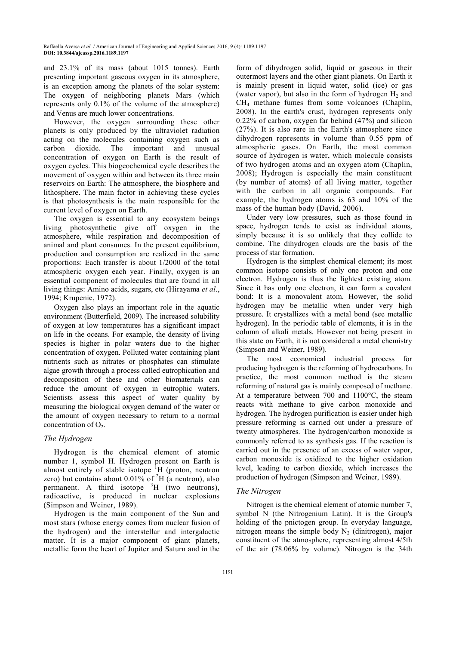and 23.1% of its mass (about 1015 tonnes). Earth presenting important gaseous oxygen in its atmosphere, is an exception among the planets of the solar system: The oxygen of neighboring planets Mars (which represents only 0.1% of the volume of the atmosphere) and Venus are much lower concentrations.

However, the oxygen surrounding these other planets is only produced by the ultraviolet radiation acting on the molecules containing oxygen such as carbon dioxide. The important and unusual concentration of oxygen on Earth is the result of oxygen cycles. This biogeochemical cycle describes the movement of oxygen within and between its three main reservoirs on Earth: The atmosphere, the biosphere and lithosphere. The main factor in achieving these cycles is that photosynthesis is the main responsible for the current level of oxygen on Earth.

The oxygen is essential to any ecosystem beings living photosynthetic give off oxygen in the atmosphere, while respiration and decomposition of animal and plant consumes. In the present equilibrium, production and consumption are realized in the same proportions: Each transfer is about 1/2000 of the total atmospheric oxygen each year. Finally, oxygen is an essential component of molecules that are found in all living things: Amino acids, sugars, etc (Hirayama *et al*., 1994; Krupenie, 1972).

Oxygen also plays an important role in the aquatic environment (Butterfield, 2009). The increased solubility of oxygen at low temperatures has a significant impact on life in the oceans. For example, the density of living species is higher in polar waters due to the higher concentration of oxygen. Polluted water containing plant nutrients such as nitrates or phosphates can stimulate algae growth through a process called eutrophication and decomposition of these and other biomaterials can reduce the amount of oxygen in eutrophic waters. Scientists assess this aspect of water quality by measuring the biological oxygen demand of the water or the amount of oxygen necessary to return to a normal concentration of  $O<sub>2</sub>$ .

## *The Hydrogen*

Hydrogen is the chemical element of atomic number 1, symbol H. Hydrogen present on Earth is almost entirely of stable isotope  ${}^{1}H$  (proton, neutron zero) but contains about  $0.01\%$  of <sup>2</sup>H (a neutron), also permanent. A third isotope  ${}^{3}H$  (two neutrons), radioactive, is produced in nuclear explosions (Simpson and Weiner, 1989).

Hydrogen is the main component of the Sun and most stars (whose energy comes from nuclear fusion of the hydrogen) and the interstellar and intergalactic matter. It is a major component of giant planets, metallic form the heart of Jupiter and Saturn and in the

form of dihydrogen solid, liquid or gaseous in their outermost layers and the other giant planets. On Earth it is mainly present in liquid water, solid (ice) or gas (water vapor), but also in the form of hydrogen  $H_2$  and CH4 methane fumes from some volcanoes (Chaplin, 2008). In the earth's crust, hydrogen represents only 0.22% of carbon, oxygen far behind (47%) and silicon (27%). It is also rare in the Earth's atmosphere since dihydrogen represents in volume than 0.55 ppm of atmospheric gases. On Earth, the most common source of hydrogen is water, which molecule consists of two hydrogen atoms and an oxygen atom (Chaplin, 2008); Hydrogen is especially the main constituent (by number of atoms) of all living matter, together with the carbon in all organic compounds. For example, the hydrogen atoms is 63 and 10% of the mass of the human body (David, 2006).

Under very low pressures, such as those found in space, hydrogen tends to exist as individual atoms, simply because it is so unlikely that they collide to combine. The dihydrogen clouds are the basis of the process of star formation.

Hydrogen is the simplest chemical element; its most common isotope consists of only one proton and one electron. Hydrogen is thus the lightest existing atom. Since it has only one electron, it can form a covalent bond: It is a monovalent atom. However, the solid hydrogen may be metallic when under very high pressure. It crystallizes with a metal bond (see metallic hydrogen). In the periodic table of elements, it is in the column of alkali metals. However not being present in this state on Earth, it is not considered a metal chemistry (Simpson and Weiner, 1989).

The most economical industrial process for producing hydrogen is the reforming of hydrocarbons. In practice, the most common method is the steam reforming of natural gas is mainly composed of methane. At a temperature between 700 and 1100°C, the steam reacts with methane to give carbon monoxide and hydrogen. The hydrogen purification is easier under high pressure reforming is carried out under a pressure of twenty atmospheres. The hydrogen/carbon monoxide is commonly referred to as synthesis gas. If the reaction is carried out in the presence of an excess of water vapor, carbon monoxide is oxidized to the higher oxidation level, leading to carbon dioxide, which increases the production of hydrogen (Simpson and Weiner, 1989).

## *The Nitrogen*

Nitrogen is the chemical element of atomic number 7, symbol N (the Nitrogenium Latin). It is the Group's holding of the pnictogen group. In everyday language, nitrogen means the simple body  $N_2$  (dinitrogen), major constituent of the atmosphere, representing almost 4/5th of the air (78.06% by volume). Nitrogen is the 34th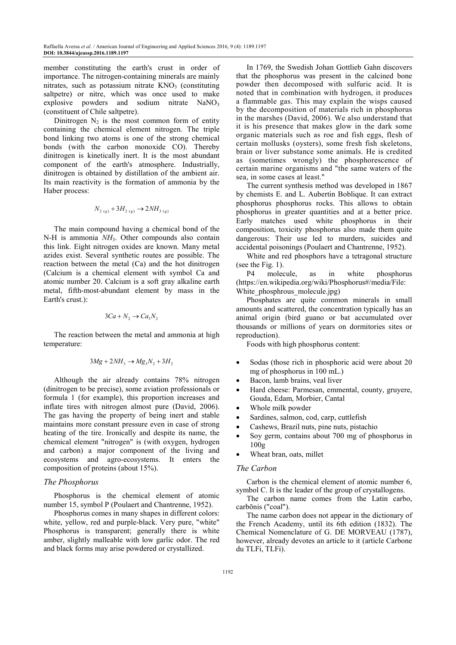member constituting the earth's crust in order of importance. The nitrogen-containing minerals are mainly nitrates, such as potassium nitrate  $KNO<sub>3</sub>$  (constituting saltpetre) or nitre, which was once used to make explosive powders and sodium nitrate  $NaNO<sub>3</sub>$ (constituent of Chile saltpetre).

Dinitrogen  $N_2$  is the most common form of entity containing the chemical element nitrogen. The triple bond linking two atoms is one of the strong chemical bonds (with the carbon monoxide CO). Thereby dinitrogen is kinetically inert. It is the most abundant component of the earth's atmosphere. Industrially, dinitrogen is obtained by distillation of the ambient air. Its main reactivity is the formation of ammonia by the Haber process:

$$
N_{2 (g)} + 3H_{2 (g)} \rightarrow 2NH_{3 (g)}
$$

The main compound having a chemical bond of the N-H is ammonia  $NH_3$ . Other compounds also contain this link. Eight nitrogen oxides are known. Many metal azides exist. Several synthetic routes are possible. The reaction between the metal (Ca) and the hot dinitrogen (Calcium is a chemical element with symbol Ca and atomic number 20. Calcium is a soft gray alkaline earth metal, fifth-most-abundant element by mass in the Earth's crust.):

$$
3Ca + N_2 \rightarrow Ca_3N_2
$$

The reaction between the metal and ammonia at high temperature:

$$
3Mg + 2NH_3 \rightarrow Mg_3N_2 + 3H_2
$$

Although the air already contains 78% nitrogen (dinitrogen to be precise), some aviation professionals or formula 1 (for example), this proportion increases and inflate tires with nitrogen almost pure (David, 2006). The gas having the property of being inert and stable maintains more constant pressure even in case of strong heating of the tire. Ironically and despite its name, the chemical element "nitrogen" is (with oxygen, hydrogen and carbon) a major component of the living and ecosystems and agro-ecosystems. It enters the composition of proteins (about 15%).

# *The Phosphorus*

Phosphorus is the chemical element of atomic number 15, symbol P (Poulaert and Chantrenne, 1952).

Phosphorus comes in many shapes in different colors: white, yellow, red and purple-black. Very pure, "white" Phosphorus is transparent; generally there is white amber, slightly malleable with low garlic odor. The red and black forms may arise powdered or crystallized.

In 1769, the Swedish Johan Gottlieb Gahn discovers that the phosphorus was present in the calcined bone powder then decomposed with sulfuric acid. It is noted that in combination with hydrogen, it produces a flammable gas. This may explain the wisps caused by the decomposition of materials rich in phosphorus in the marshes (David, 2006). We also understand that it is his presence that makes glow in the dark some organic materials such as roe and fish eggs, flesh of certain mollusks (oysters), some fresh fish skeletons, brain or liver substance some animals. He is credited as (sometimes wrongly) the phosphorescence of certain marine organisms and "the same waters of the sea, in some cases at least."

The current synthesis method was developed in 1867 by chemists E. and L. Aubertin Boblique. It can extract phosphorus phosphorus rocks. This allows to obtain phosphorus in greater quantities and at a better price. Early matches used white phosphorus in their composition, toxicity phosphorus also made them quite dangerous: Their use led to murders, suicides and accidental poisonings (Poulaert and Chantrenne, 1952).

White and red phosphors have a tetragonal structure (see the Fig. 1).

P4 molecule, as in white phosphorus (https://en.wikipedia.org/wiki/Phosphorus#/media/File: White phosphrous molecule.jpg)

Phosphates are quite common minerals in small amounts and scattered, the concentration typically has an animal origin (bird guano or bat accumulated over thousands or millions of years on dormitories sites or reproduction).

Foods with high phosphorus content:

- Sodas (those rich in phosphoric acid were about 20 mg of phosphorus in 100 mL.)
- Bacon, lamb brains, veal liver
- Hard cheese: Parmesan, emmental, county, gruyere, Gouda, Edam, Morbier, Cantal
- Whole milk powder
- Sardines, salmon, cod, carp, cuttlefish
- Cashews, Brazil nuts, pine nuts, pistachio
- Soy germ, contains about 700 mg of phosphorus in 100g
- Wheat bran, oats, millet

#### *The Carbon*

Carbon is the chemical element of atomic number 6, symbol C. It is the leader of the group of crystallogens.

The carbon name comes from the Latin carbo, carbōnis ("coal").

The name carbon does not appear in the dictionary of the French Academy, until its 6th edition (1832). The Chemical Nomenclature of G. DE MORVEAU (1787), however, already devotes an article to it (article Carbone du TLFi, TLFi).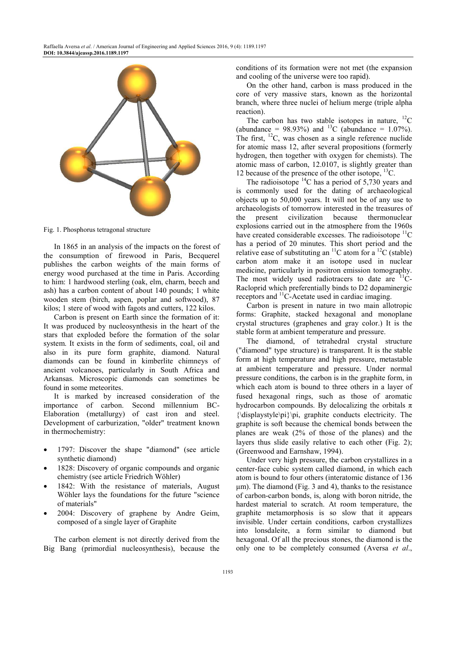

Fig. 1. Phosphorus tetragonal structure

In 1865 in an analysis of the impacts on the forest of the consumption of firewood in Paris, Becquerel publishes the carbon weights of the main forms of energy wood purchased at the time in Paris. According to him: 1 hardwood sterling (oak, elm, charm, beech and ash) has a carbon content of about 140 pounds; 1 white wooden stem (birch, aspen, poplar and softwood), 87 kilos; 1 stere of wood with fagots and cutters, 122 kilos.

Carbon is present on Earth since the formation of it: It was produced by nucleosynthesis in the heart of the stars that exploded before the formation of the solar system. It exists in the form of sediments, coal, oil and also in its pure form graphite, diamond. Natural diamonds can be found in kimberlite chimneys of ancient volcanoes, particularly in South Africa and Arkansas. Microscopic diamonds can sometimes be found in some meteorites.

It is marked by increased consideration of the importance of carbon. Second millennium BC-Elaboration (metallurgy) of cast iron and steel. Development of carburization, "older" treatment known in thermochemistry:

- 1797: Discover the shape "diamond" (see article synthetic diamond)
- 1828: Discovery of organic compounds and organic chemistry (see article Friedrich Wöhler)
- 1842: With the resistance of materials, August Wöhler lays the foundations for the future "science of materials"
- 2004: Discovery of graphene by Andre Geim, composed of a single layer of Graphite

The carbon element is not directly derived from the Big Bang (primordial nucleosynthesis), because the conditions of its formation were not met (the expansion and cooling of the universe were too rapid).

On the other hand, carbon is mass produced in the core of very massive stars, known as the horizontal branch, where three nuclei of helium merge (triple alpha reaction).

The carbon has two stable isotopes in nature,  $^{12}$ C (abundance =  $98.93\%$ ) and <sup>13</sup>C (abundance = 1.07%). The first,  $^{12}C$ , was chosen as a single reference nuclide for atomic mass 12, after several propositions (formerly hydrogen, then together with oxygen for chemists). The atomic mass of carbon, 12.0107, is slightly greater than 12 because of the presence of the other isotope,  $^{13}$ C.

The radioisotope  $^{14}$ C has a period of 5,730 years and is commonly used for the dating of archaeological objects up to 50,000 years. It will not be of any use to archaeologists of tomorrow interested in the treasures of the present civilization because thermonuclear explosions carried out in the atmosphere from the 1960s have created considerable excesses. The radioisotope  ${}^{11}C$ has a period of 20 minutes. This short period and the relative ease of substituting an <sup>11</sup>C atom for a <sup>12</sup>C (stable) carbon atom make it an isotope used in nuclear medicine, particularly in positron emission tomography. The most widely used radiotracers to date are  $1^1C$ -Racloprid which preferentially binds to D2 dopaminergic receptors and  ${}^{11}$ C-Acetate used in cardiac imaging.

Carbon is present in nature in two main allotropic forms: Graphite, stacked hexagonal and monoplane crystal structures (graphenes and gray color.) It is the stable form at ambient temperature and pressure.

The diamond, of tetrahedral crystal structure ("diamond" type structure) is transparent. It is the stable form at high temperature and high pressure, metastable at ambient temperature and pressure. Under normal pressure conditions, the carbon is in the graphite form, in which each atom is bound to three others in a layer of fused hexagonal rings, such as those of aromatic hydrocarbon compounds. By delocalizing the orbitals π {\displaystyle\pi}\pi, graphite conducts electricity. The graphite is soft because the chemical bonds between the planes are weak (2% of those of the planes) and the layers thus slide easily relative to each other (Fig. 2); (Greenwood and Earnshaw, 1994).

Under very high pressure, the carbon crystallizes in a center-face cubic system called diamond, in which each atom is bound to four others (interatomic distance of 136 µm). The diamond (Fig. 3 and 4), thanks to the resistance of carbon-carbon bonds, is, along with boron nitride, the hardest material to scratch. At room temperature, the graphite metamorphosis is so slow that it appears invisible. Under certain conditions, carbon crystallizes into lonsdaleite, a form similar to diamond but hexagonal. Of all the precious stones, the diamond is the only one to be completely consumed (Aversa *et al*.,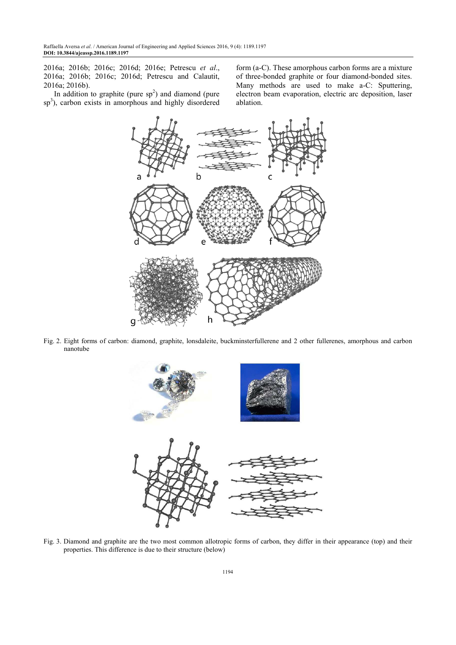2016a; 2016b; 2016c; 2016d; 2016e; Petrescu *et al*., 2016a; 2016b; 2016c; 2016d; Petrescu and Calautit, 2016a; 2016b).

In addition to graphite (pure  $sp<sup>2</sup>$ ) and diamond (pure sp<sup>3</sup>), carbon exists in amorphous and highly disordered

form (a-C). These amorphous carbon forms are a mixture of three-bonded graphite or four diamond-bonded sites. Many methods are used to make a-C: Sputtering, electron beam evaporation, electric arc deposition, laser ablation.



Fig. 2. Eight forms of carbon: diamond, graphite, lonsdaleite, buckminsterfullerene and 2 other fullerenes, amorphous and carbon nanotube



Fig. 3. Diamond and graphite are the two most common allotropic forms of carbon, they differ in their appearance (top) and their properties. This difference is due to their structure (below)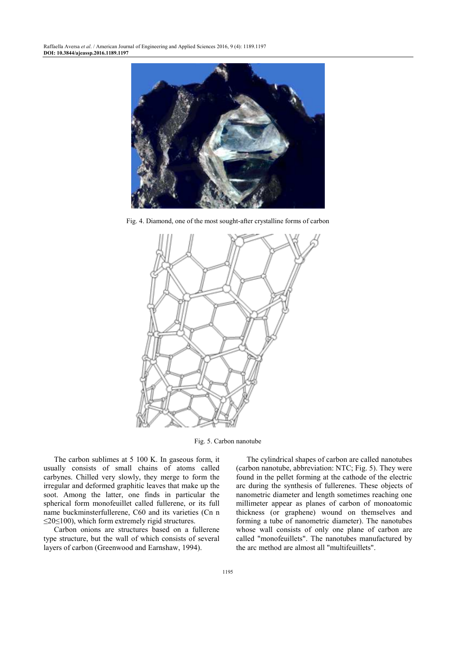Raffaella Aversa *et al*. / American Journal of Engineering and Applied Sciences 2016, 9 (4): 1189.1197 **DOI: 10.3844/ajeassp.2016.1189.1197** 



Fig. 4. Diamond, one of the most sought-after crystalline forms of carbon



Fig. 5. Carbon nanotube

The carbon sublimes at 5 100 K. In gaseous form, it usually consists of small chains of atoms called carbynes. Chilled very slowly, they merge to form the irregular and deformed graphitic leaves that make up the soot. Among the latter, one finds in particular the spherical form monofeuillet called fullerene, or its full name buckminsterfullerene, C60 and its varieties (Cn n  $\leq$ 20 $\leq$ 100), which form extremely rigid structures.

Carbon onions are structures based on a fullerene type structure, but the wall of which consists of several layers of carbon (Greenwood and Earnshaw, 1994).

The cylindrical shapes of carbon are called nanotubes (carbon nanotube, abbreviation: NTC; Fig. 5). They were found in the pellet forming at the cathode of the electric arc during the synthesis of fullerenes. These objects of nanometric diameter and length sometimes reaching one millimeter appear as planes of carbon of monoatomic thickness (or graphene) wound on themselves and forming a tube of nanometric diameter). The nanotubes whose wall consists of only one plane of carbon are called "monofeuillets". The nanotubes manufactured by the arc method are almost all "multifeuillets".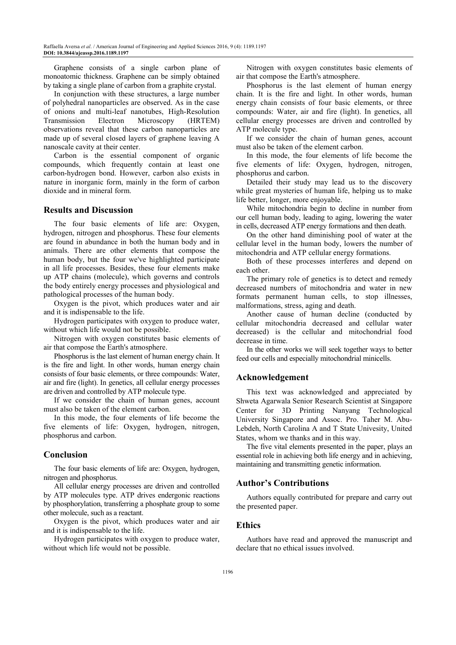Graphene consists of a single carbon plane of monoatomic thickness. Graphene can be simply obtained by taking a single plane of carbon from a graphite crystal.

In conjunction with these structures, a large number of polyhedral nanoparticles are observed. As in the case of onions and multi-leaf nanotubes, High-Resolution Transmission Electron Microscopy (HRTEM) observations reveal that these carbon nanoparticles are made up of several closed layers of graphene leaving A nanoscale cavity at their center.

Carbon is the essential component of organic compounds, which frequently contain at least one carbon-hydrogen bond. However, carbon also exists in nature in inorganic form, mainly in the form of carbon dioxide and in mineral form.

## **Results and Discussion**

The four basic elements of life are: Oxygen, hydrogen, nitrogen and phosphorus. These four elements are found in abundance in both the human body and in animals. There are other elements that compose the human body, but the four we've highlighted participate in all life processes. Besides, these four elements make up ATP chains (molecule), which governs and controls the body entirely energy processes and physiological and pathological processes of the human body.

Oxygen is the pivot, which produces water and air and it is indispensable to the life.

Hydrogen participates with oxygen to produce water, without which life would not be possible.

Nitrogen with oxygen constitutes basic elements of air that compose the Earth's atmosphere.

Phosphorus is the last element of human energy chain. It is the fire and light. In other words, human energy chain consists of four basic elements, or three compounds: Water, air and fire (light). In genetics, all cellular energy processes are driven and controlled by ATP molecule type.

If we consider the chain of human genes, account must also be taken of the element carbon.

In this mode, the four elements of life become the five elements of life: Oxygen, hydrogen, nitrogen, phosphorus and carbon.

#### **Conclusion**

The four basic elements of life are: Oxygen, hydrogen, nitrogen and phosphorus.

All cellular energy processes are driven and controlled by ATP molecules type. ATP drives endergonic reactions by phosphorylation, transferring a phosphate group to some other molecule, such as a reactant.

Oxygen is the pivot, which produces water and air and it is indispensable to the life.

Hydrogen participates with oxygen to produce water, without which life would not be possible.

Nitrogen with oxygen constitutes basic elements of air that compose the Earth's atmosphere.

Phosphorus is the last element of human energy chain. It is the fire and light. In other words, human energy chain consists of four basic elements, or three compounds: Water, air and fire (light). In genetics, all cellular energy processes are driven and controlled by ATP molecule type.

If we consider the chain of human genes, account must also be taken of the element carbon.

In this mode, the four elements of life become the five elements of life: Oxygen, hydrogen, nitrogen, phosphorus and carbon.

Detailed their study may lead us to the discovery while great mysteries of human life, helping us to make life better, longer, more enjoyable.

While mitochondria begin to decline in number from our cell human body, leading to aging, lowering the water in cells, decreased ATP energy formations and then death.

On the other hand diminishing pool of water at the cellular level in the human body, lowers the number of mitochondria and ATP cellular energy formations.

Both of these processes interferes and depend on each other.

The primary role of genetics is to detect and remedy decreased numbers of mitochondria and water in new formats permanent human cells, to stop illnesses, malformations, stress, aging and death.

Another cause of human decline (conducted by cellular mitochondria decreased and cellular water decreased) is the cellular and mitochondrial food decrease in time.

In the other works we will seek together ways to better feed our cells and especially mitochondrial minicells.

#### **Acknowledgement**

This text was acknowledged and appreciated by Shweta Agarwala Senior Research Scientist at Singapore Center for 3D Printing Nanyang Technological University Singapore and Assoc. Pro. Taher M. Abu-Lebdeh, North Carolina A and T State Univesity, United States, whom we thanks and in this way.

The five vital elements presented in the paper, plays an essential role in achieving both life energy and in achieving, maintaining and transmitting genetic information.

#### **Author's Contributions**

Authors equally contributed for prepare and carry out the presented paper.

### **Ethics**

Authors have read and approved the manuscript and declare that no ethical issues involved.